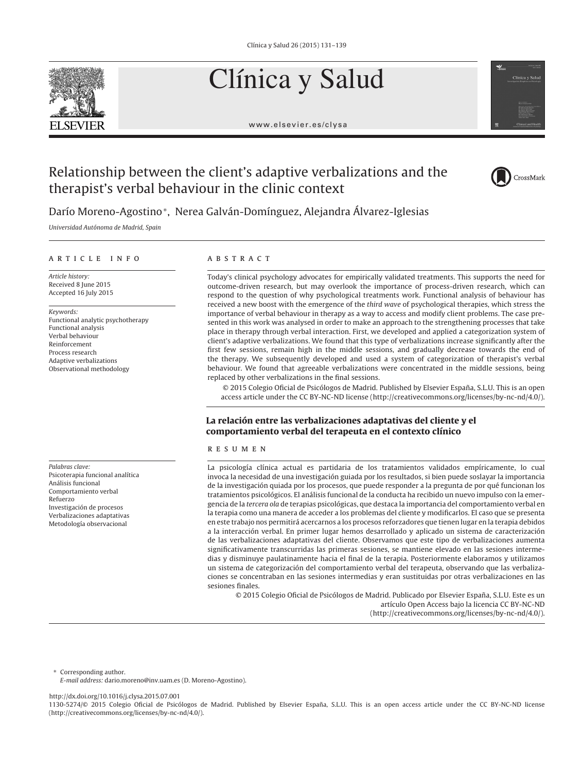# Clínica y Salud



www.elsevier.es/clysa



# Relationship between the client's adaptive verbalizations and the therapist's verbal behaviour in the clinic context



Darío Moreno-Agostino∗, Nerea Galván-Domínguez, Alejandra Álvarez-Iglesias

Universidad Autónoma de Madrid, Spain

#### article info

Article history: Received 8 June 2015 Accepted 16 July 2015

Keywords:

Functional analytic psychotherapy Functional analysis Verbal behaviour Reinforcement Process research Adaptive verbalizations Observational methodology

Palabras clave: Psicoterapia funcional analítica Análisis funcional Comportamiento verbal Refuerzo Investigación de procesos Verbalizaciones adaptativas Metodología observacional

# **ABSTRACT**

Today's clinical psychology advocates for empirically validated treatments. This supports the need for outcome-driven research, but may overlook the importance of process-driven research, which can respond to the question of why psychological treatments work. Functional analysis of behaviour has received a new boost with the emergence of the third wave of psychological therapies, which stress the importance of verbal behaviour in therapy as a way to access and modify client problems. The case presented in this work was analysed in order to make an approach to the strengthening processes that take place in therapy through verbal interaction. First, we developed and applied a categorization system of client's adaptive verbalizations. We found that this type of verbalizations increase significantly after the first few sessions, remain high in the middle sessions, and gradually decrease towards the end of the therapy. We subsequently developed and used a system of categorization of therapist's verbal behaviour. We found that agreeable verbalizations were concentrated in the middle sessions, being replaced by other verbalizations in the final sessions.

© 2015 Colegio Oficial de Psicólogos de Madrid. Published by Elsevier España, S.L.U. This is an open access article under the CC BY-NC-ND license (http://creativecommons.org/licenses/by-nc-nd/4.0/).

# **La relación entre las verbalizaciones adaptativas del cliente y el comportamiento verbal del terapeuta en el contexto clínico**

# resumen

La psicología clínica actual es partidaria de los tratamientos validados empíricamente, lo cual invoca la necesidad de una investigación guiada por los resultados, si bien puede soslayar la importancia de la investigación quiada por los procesos, que puede responder a la pregunta de por qué funcionan los tratamientos psicológicos. El análisis funcional de la conducta ha recibido un nuevo impulso con la emergencia de la tercera ola de terapias psicológicas, que destaca la importancia del comportamiento verbal en la terapia como una manera de acceder a los problemas del cliente y modificarlos. El caso que se presenta en este trabajo nos permitirá acercarnos a los procesos reforzadores que tienen lugar en la terapia debidos a la interacción verbal. En primer lugar hemos desarrollado y aplicado un sistema de caracterización de las verbalizaciones adaptativas del cliente. Observamos que este tipo de verbalizaciones aumenta significativamente transcurridas las primeras sesiones, se mantiene elevado en las sesiones intermedias y disminuye paulatinamente hacia el final de la terapia. Posteriormente elaboramos y utilizamos un sistema de categorización del comportamiento verbal del terapeuta, observando que las verbalizaciones se concentraban en las sesiones intermedias y eran sustituidas por otras verbalizaciones en las sesiones finales.

© 2015 Colegio Oficial de Psicólogos de Madrid. Publicado por Elsevier España, S.L.U. Este es un artículo Open Access bajo la licencia CC BY-NC-ND (http://creativecommons.org/licenses/by-nc-nd/4.0/).

∗ Corresponding author.

E-mail address: dario.moreno@inv.uam.es (D. Moreno-Agostino).

http://dx.doi.org/10.1016/j.clysa.2015.07.001

<sup>1130-5274/© 2015</sup> Colegio Oficial de Psicólogos de Madrid. Published by Elsevier España, S.L.U. This is an open access article under the CC BY-NC-ND license (http://creativecommons.org/licenses/by-nc-nd/4.0/).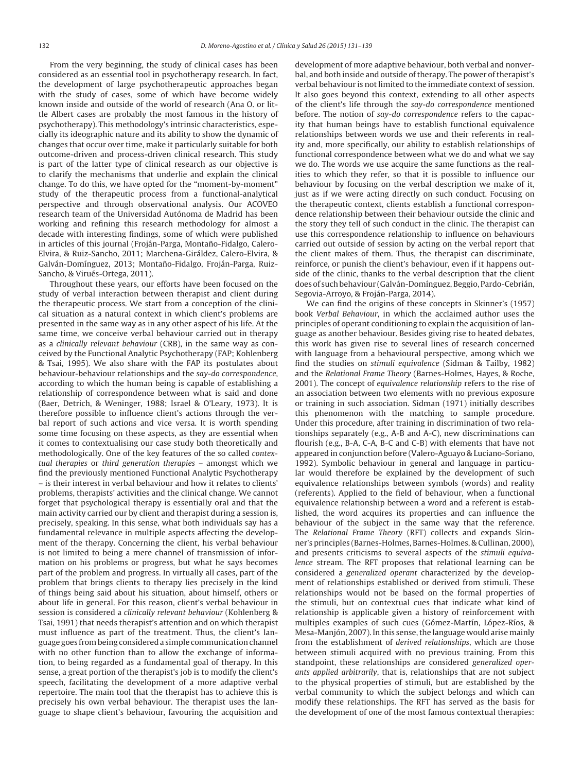From the very beginning, the study of clinical cases has been considered as an essential tool in psychotherapy research. In fact, the development of large psychotherapeutic approaches began with the study of cases, some of which have become widely known inside and outside of the world of research (Ana O. or little Albert cases are probably the most famous in the history of psychotherapy). This methodology's intrinsic characteristics, especially its ideographic nature and its ability to show the dynamic of changes that occur over time, make it particularly suitable for both outcome-driven and process-driven clinical research. This study is part of the latter type of clinical research as our objective is to clarify the mechanisms that underlie and explain the clinical change. To do this, we have opted for the "moment-by-moment" study of the therapeutic process from a functional-analytical perspective and through observational analysis. Our ACOVEO research team of the Universidad Autónoma de Madrid has been working and refining this research methodology for almost a decade with interesting findings, some of which were published in articles of this journal (Froján-Parga, Montaño-Fidalgo, Calero-Elvira, & Ruiz-Sancho, 2011; Marchena-Giráldez, Calero-Elvira, & Galván-Domínguez, 2013; Montaño-Fidalgo, Froján-Parga, Ruiz-Sancho, & Virués-Ortega, 2011).

Throughout these years, our efforts have been focused on the study of verbal interaction between therapist and client during the therapeutic process. We start from a conception of the clinical situation as a natural context in which client's problems are presented in the same way as in any other aspect of his life. At the same time, we conceive verbal behaviour carried out in therapy as a clinically relevant behaviour (CRB), in the same way as conceived by the Functional Analytic Psychotherapy (FAP; Kohlenberg & Tsai, 1995). We also share with the FAP its postulates about behaviour-behaviour relationships and the say-do correspondence, according to which the human being is capable of establishing a relationship of correspondence between what is said and done (Baer, Detrich, & Weninger, 1988; Israel & O'Leary, 1973). It is therefore possible to influence client's actions through the verbal report of such actions and vice versa. It is worth spending some time focusing on these aspects, as they are essential when it comes to contextualising our case study both theoretically and methodologically. One of the key features of the so called contextual therapies or third generation therapies – amongst which we find the previously mentioned Functional Analytic Psychotherapy – is their interest in verbal behaviour and how it relates to clients' problems, therapists' activities and the clinical change. We cannot forget that psychological therapy is essentially oral and that the main activity carried our by client and therapist during a session is, precisely, speaking. In this sense, what both individuals say has a fundamental relevance in multiple aspects affecting the development of the therapy. Concerning the client, his verbal behaviour is not limited to being a mere channel of transmission of information on his problems or progress, but what he says becomes part of the problem and progress. In virtually all cases, part of the problem that brings clients to therapy lies precisely in the kind of things being said about his situation, about himself, others or about life in general. For this reason, client's verbal behaviour in session is considered a clinically relevant behaviour (Kohlenberg & Tsai, 1991) that needs therapist's attention and on which therapist must influence as part of the treatment. Thus, the client's language goes from being considered a simple communication channel with no other function than to allow the exchange of information, to being regarded as a fundamental goal of therapy. In this sense, a great portion of the therapist's job is to modify the client's speech, facilitating the development of a more adaptive verbal repertoire. The main tool that the therapist has to achieve this is precisely his own verbal behaviour. The therapist uses the language to shape client's behaviour, favouring the acquisition and

development of more adaptive behaviour, both verbal and nonverbal, and both inside and outside of therapy. The power of therapist's verbal behaviour is not limited to the immediate context of session. It also goes beyond this context, extending to all other aspects of the client's life through the say-do correspondence mentioned before. The notion of say-do correspondence refers to the capacity that human beings have to establish functional equivalence relationships between words we use and their referents in reality and, more specifically, our ability to establish relationships of functional correspondence between what we do and what we say we do. The words we use acquire the same functions as the realities to which they refer, so that it is possible to influence our behaviour by focusing on the verbal description we make of it, just as if we were acting directly on such conduct. Focusing on the therapeutic context, clients establish a functional correspondence relationship between their behaviour outside the clinic and the story they tell of such conduct in the clinic. The therapist can use this correspondence relationship to influence on behaviours carried out outside of session by acting on the verbal report that the client makes of them. Thus, the therapist can discriminate, reinforce, or punish the client's behaviour, even if it happens outside of the clinic, thanks to the verbal description that the client does of such behaviour (Galván-Domínguez, Beggio, Pardo-Cebrián, Segovia-Arroyo, & Froján-Parga, 2014).

We can find the origins of these concepts in Skinner's (1957) book Verbal Behaviour, in which the acclaimed author uses the principles of operant conditioning to explain the acquisition of language as another behaviour. Besides giving rise to heated debates, this work has given rise to several lines of research concerned with language from a behavioural perspective, among which we find the studies on stimuli equivalence (Sidman & Tailby, 1982) and the Relational Frame Theory (Barnes-Holmes, Hayes, & Roche, 2001). The concept of equivalence relationship refers to the rise of an association between two elements with no previous exposure or training in such association. Sidman (1971) initially describes this phenomenon with the matching to sample procedure. Under this procedure, after training in discrimination of two relationships separately (e.g., A-B and A-C), new discriminations can flourish (e.g., B-A, C-A, B-C and C-B) with elements that have not appeared in conjunction before (Valero-Aguayo & Luciano-Soriano, 1992). Symbolic behaviour in general and language in particular would therefore be explained by the development of such equivalence relationships between symbols (words) and reality (referents). Applied to the field of behaviour, when a functional equivalence relationship between a word and a referent is established, the word acquires its properties and can influence the behaviour of the subject in the same way that the reference. The Relational Frame Theory (RFT) collects and expands Skinner's principles (Barnes-Holmes, Barnes-Holmes, & Cullinan, 2000), and presents criticisms to several aspects of the stimuli equivalence stream. The RFT proposes that relational learning can be considered a generalized operant characterized by the development of relationships established or derived from stimuli. These relationships would not be based on the formal properties of the stimuli, but on contextual cues that indicate what kind of relationship is applicable given a history of reinforcement with multiples examples of such cues (Gómez-Martín, López-Ríos, & Mesa-Manjón, 2007). In this sense, the language would arise mainly from the establishment of derived relationships, which are those between stimuli acquired with no previous training. From this standpoint, these relationships are considered generalized operants applied arbitrarily, that is, relationships that are not subject to the physical properties of stimuli, but are established by the verbal community to which the subject belongs and which can modify these relationships. The RFT has served as the basis for the development of one of the most famous contextual therapies: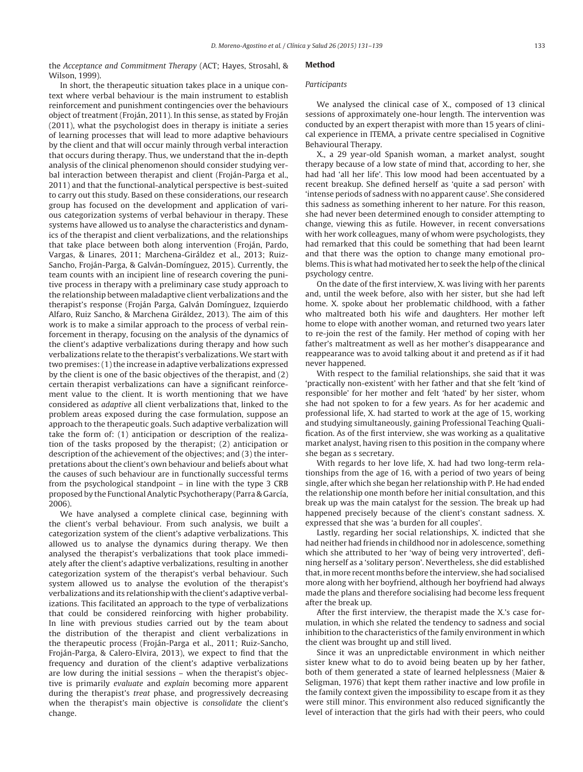the Acceptance and Commitment Therapy (ACT; Hayes, Strosahl, & Wilson, 1999).

In short, the therapeutic situation takes place in a unique context where verbal behaviour is the main instrument to establish reinforcement and punishment contingencies over the behaviours object of treatment (Froján, 2011). In this sense, as stated by Froján (2011), what the psychologist does in therapy is initiate a series of learning processes that will lead to more adaptive behaviours by the client and that will occur mainly through verbal interaction that occurs during therapy. Thus, we understand that the in-depth analysis of the clinical phenomenon should consider studying verbal interaction between therapist and client (Froján-Parga et al., 2011) and that the functional-analytical perspective is best-suited to carry out this study. Based on these considerations, our research group has focused on the development and application of various categorization systems of verbal behaviour in therapy. These systems have allowed us to analyse the characteristics and dynamics of the therapist and client verbalizations, and the relationships that take place between both along intervention (Froján, Pardo, Vargas, & Linares, 2011; Marchena-Giráldez et al., 2013; Ruiz-Sancho, Froján-Parga, & Galván-Domínguez, 2015). Currently, the team counts with an incipient line of research covering the punitive process in therapy with a preliminary case study approach to the relationship between maladaptive client verbalizations and the therapist's response (Froján Parga, Galván Domínguez, Izquierdo Alfaro, Ruiz Sancho, & Marchena Giráldez, 2013). The aim of this work is to make a similar approach to the process of verbal reinforcement in therapy, focusing on the analysis of the dynamics of the client's adaptive verbalizations during therapy and how such verbalizations relate to the therapist's verbalizations. We start with two premises: (1) the increase in adaptive verbalizations expressed by the client is one of the basic objectives of the therapist, and (2) certain therapist verbalizations can have a significant reinforcement value to the client. It is worth mentioning that we have considered as adaptive all client verbalizations that, linked to the problem areas exposed during the case formulation, suppose an approach to the therapeutic goals. Such adaptive verbalization will take the form of: (1) anticipation or description of the realization of the tasks proposed by the therapist; (2) anticipation or description of the achievement of the objectives; and (3) the interpretations about the client's own behaviour and beliefs about what the causes of such behaviour are in functionally successful terms from the psychological standpoint – in line with the type 3 CRB proposed by the Functional Analytic Psychotherapy (Parra & García, 2006).

We have analysed a complete clinical case, beginning with the client's verbal behaviour. From such analysis, we built a categorization system of the client's adaptive verbalizations. This allowed us to analyse the dynamics during therapy. We then analysed the therapist's verbalizations that took place immediately after the client's adaptive verbalizations, resulting in another categorization system of the therapist's verbal behaviour. Such system allowed us to analyse the evolution of the therapist's verbalizations and its relationship with the client's adaptive verbalizations. This facilitated an approach to the type of verbalizations that could be considered reinforcing with higher probability. In line with previous studies carried out by the team about the distribution of the therapist and client verbalizations in the therapeutic process (Froján-Parga et al., 2011; Ruiz-Sancho, Froján-Parga, & Calero-Elvira, 2013), we expect to find that the frequency and duration of the client's adaptive verbalizations are low during the initial sessions – when the therapist's objective is primarily evaluate and explain becoming more apparent during the therapist's treat phase, and progressively decreasing when the therapist's main objective is consolidate the client's change.

# **Method**

# Participants

We analysed the clinical case of X., composed of 13 clinical sessions of approximately one-hour length. The intervention was conducted by an expert therapist with more than 15 years of clinical experience in ITEMA, a private centre specialised in Cognitive Behavioural Therapy.

X., a 29 year-old Spanish woman, a market analyst, sought therapy because of a low state of mind that, according to her, she had had 'all her life'. This low mood had been accentuated by a recent breakup. She defined herself as 'quite a sad person' with 'intense periods of sadness with no apparent cause'. She considered this sadness as something inherent to her nature. For this reason, she had never been determined enough to consider attempting to change, viewing this as futile. However, in recent conversations with her work colleagues, many of whom were psychologists, they had remarked that this could be something that had been learnt and that there was the option to change many emotional problems. This is what had motivated her to seek the help of the clinical psychology centre.

On the date of the first interview, X. was living with her parents and, until the week before, also with her sister, but she had left home. X. spoke about her problematic childhood, with a father who maltreated both his wife and daughters. Her mother left home to elope with another woman, and returned two years later to re-join the rest of the family. Her method of coping with her father's maltreatment as well as her mother's disappearance and reappearance was to avoid talking about it and pretend as if it had never happened.

With respect to the familial relationships, she said that it was 'practically non-existent' with her father and that she felt 'kind of responsible' for her mother and felt 'hated' by her sister, whom she had not spoken to for a few years. As for her academic and professional life, X. had started to work at the age of 15, working and studying simultaneously, gaining Professional Teaching Qualification. As of the first interview, she was working as a qualitative market analyst, having risen to this position in the company where she began as s secretary.

With regards to her love life, X. had had two long-term relationships from the age of 16, with a period of two years of being single, after which she began her relationship with P. He had ended the relationship one month before her initial consultation, and this break up was the main catalyst for the session. The break up had happened precisely because of the client's constant sadness. X. expressed that she was 'a burden for all couples'.

Lastly, regarding her social relationships, X. indicted that she had neither had friends in childhood nor in adolescence, something which she attributed to her 'way of being very introverted', defining herself as a 'solitary person'. Nevertheless, she did established that, in more recent months before the interview, she had socialised more along with her boyfriend, although her boyfriend had always made the plans and therefore socialising had become less frequent after the break up.

After the first interview, the therapist made the X.'s case formulation, in which she related the tendency to sadness and social inhibition to the characteristics of the family environment in which the client was brought up and still lived.

Since it was an unpredictable environment in which neither sister knew what to do to avoid being beaten up by her father, both of them generated a state of learned helplessness (Maier & Seligman, 1976) that kept them rather inactive and low profile in the family context given the impossibility to escape from it as they were still minor. This environment also reduced significantly the level of interaction that the girls had with their peers, who could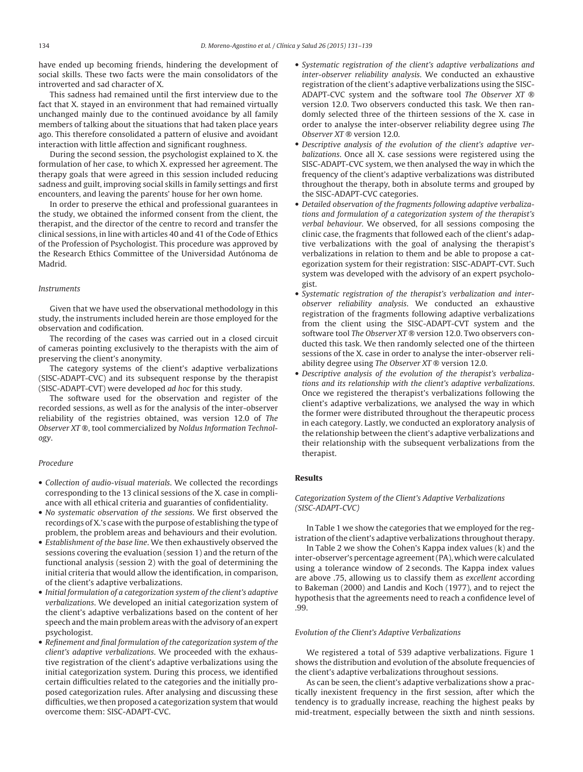have ended up becoming friends, hindering the development of social skills. These two facts were the main consolidators of the introverted and sad character of X.

This sadness had remained until the first interview due to the fact that X. stayed in an environment that had remained virtually unchanged mainly due to the continued avoidance by all family members of talking about the situations that had taken place years ago. This therefore consolidated a pattern of elusive and avoidant interaction with little affection and significant roughness.

During the second session, the psychologist explained to X. the formulation of her case, to which X. expressed her agreement. The therapy goals that were agreed in this session included reducing sadness and guilt, improving social skills in family settings and first encounters, and leaving the parents' house for her own home.

In order to preserve the ethical and professional guarantees in the study, we obtained the informed consent from the client, the therapist, and the director of the centre to record and transfer the clinical sessions, in line with articles 40 and 41 of the Code of Ethics of the Profession of Psychologist. This procedure was approved by the Research Ethics Committee of the Universidad Autónoma de Madrid.

# Instruments

Given that we have used the observational methodology in this study, the instruments included herein are those employed for the observation and codification.

The recording of the cases was carried out in a closed circuit of cameras pointing exclusively to the therapists with the aim of preserving the client's anonymity.

The category systems of the client's adaptive verbalizations (SISC-ADAPT-CVC) and its subsequent response by the therapist (SISC-ADAPT-CVT) were developed ad hoc for this study.

The software used for the observation and register of the recorded sessions, as well as for the analysis of the inter-observer reliability of the registries obtained, was version 12.0 of The Observer XT ®, tool commercialized by Noldus Information Technology.

#### Procedure

- Collection of audio-visual materials. We collected the recordings corresponding to the 13 clinical sessions of the X. case in compliance with all ethical criteria and guaranties of confidentiality.
- No systematic observation of the sessions. We first observed the recordings of X.'s case with the purpose of establishing the type of problem, the problem areas and behaviours and their evolution.
- Establishment of the base line. We then exhaustively observed the sessions covering the evaluation (session 1) and the return of the functional analysis (session 2) with the goal of determining the initial criteria that would allow the identification, in comparison, of the client's adaptive verbalizations.
- Initial formulation of a categorization system of the client's adaptive verbalizations. We developed an initial categorization system of the client's adaptive verbalizations based on the content of her speech and the main problem areas with the advisory of an expert psychologist.
- Refinement and final formulation of the categorization system of the client's adaptive verbalizations. We proceeded with the exhaustive registration of the client's adaptive verbalizations using the initial categorization system. During this process, we identified certain difficulties related to the categories and the initially proposed categorization rules. After analysing and discussing these difficulties, we then proposed a categorization system that would overcome them: SISC-ADAPT-CVC.
- Systematic registration of the client's adaptive verbalizations and inter-observer reliability analysis. We conducted an exhaustive registration of the client's adaptive verbalizations using the SISC-ADAPT-CVC system and the software tool The Observer XT ® version 12.0. Two observers conducted this task. We then randomly selected three of the thirteen sessions of the X. case in order to analyse the inter-observer reliability degree using The Observer XT ® version 12.0.
- Descriptive analysis of the evolution of the client's adaptive verbalizations. Once all X. case sessions were registered using the SISC-ADAPT-CVC system, we then analysed the way in which the frequency of the client's adaptive verbalizations was distributed throughout the therapy, both in absolute terms and grouped by the SISC-ADAPT-CVC categories.
- Detailed observation of the fragments following adaptive verbalizations and formulation of a categorization system of the therapist's verbal behaviour. We observed, for all sessions composing the clinic case, the fragments that followed each of the client's adaptive verbalizations with the goal of analysing the therapist's verbalizations in relation to them and be able to propose a categorization system for their registration: SISC-ADAPT-CVT. Such system was developed with the advisory of an expert psychologist.
- Systematic registration of the therapist's verbalization and interobserver reliability analysis. We conducted an exhaustive registration of the fragments following adaptive verbalizations from the client using the SISC-ADAPT-CVT system and the software tool The Observer XT ® version 12.0. Two observers conducted this task. We then randomly selected one of the thirteen sessions of the X. case in order to analyse the inter-observer reliability degree using The Observer XT ® version 12.0.
- Descriptive analysis of the evolution of the therapist's verbalizations and its relationship with the client's adaptive verbalizations. Once we registered the therapist's verbalizations following the client's adaptive verbalizations, we analysed the way in which the former were distributed throughout the therapeutic process in each category. Lastly, we conducted an exploratory analysis of the relationship between the client's adaptive verbalizations and their relationship with the subsequent verbalizations from the therapist.

# **Results**

# Categorization System of the Client's Adaptive Verbalizations (SISC-ADAPT-CVC)

In Table 1 we show the categories that we employed for the registration of the client's adaptive verbalizations throughout therapy.

In Table 2 we show the Cohen's Kappa index values (k) and the inter-observer's percentage agreement (PA), which were calculated using a tolerance window of 2 seconds. The Kappa index values are above .75, allowing us to classify them as excellent according to Bakeman (2000) and Landis and Koch (1977), and to reject the hypothesis that the agreements need to reach a confidence level of .99.

#### Evolution of the Client's Adaptive Verbalizations

We registered a total of 539 adaptive verbalizations. Figure 1 shows the distribution and evolution of the absolute frequencies of the client's adaptive verbalizations throughout sessions.

As can be seen, the client's adaptive verbalizations show a practically inexistent frequency in the first session, after which the tendency is to gradually increase, reaching the highest peaks by mid-treatment, especially between the sixth and ninth sessions.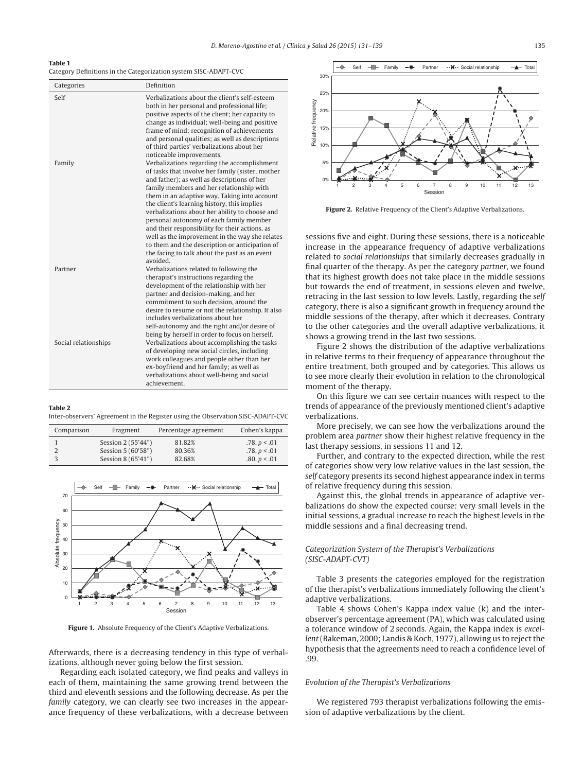### **Table 1**

| Category Definitions in the Categorization system SISC-ADAPT-CVC |  |
|------------------------------------------------------------------|--|
|------------------------------------------------------------------|--|

| Categories           | Definition                                                                                                                                                                                                                                                                                                                                                                                                                                                                                                                                                                                                                                                                                                                                                                                                                                                                                                                  |
|----------------------|-----------------------------------------------------------------------------------------------------------------------------------------------------------------------------------------------------------------------------------------------------------------------------------------------------------------------------------------------------------------------------------------------------------------------------------------------------------------------------------------------------------------------------------------------------------------------------------------------------------------------------------------------------------------------------------------------------------------------------------------------------------------------------------------------------------------------------------------------------------------------------------------------------------------------------|
| Self<br>Family       | Verbalizations about the client's self-esteem<br>both in her personal and professional life;<br>positive aspects of the client; her capacity to<br>change as individual; well-being and positive<br>frame of mind; recognition of achievements<br>and personal qualities; as well as descriptions<br>of third parties' verbalizations about her<br>noticeable improvements.<br>Verbalizations regarding the accomplishment<br>of tasks that involve her family (sister, mother<br>and father); as well as descriptions of her<br>family members and her relationship with<br>them in an adaptive way. Taking into account<br>the client's learning history, this implies<br>verbalizations about her ability to choose and<br>personal autonomy of each family member<br>and their responsibility for their actions, as<br>well as the improvement in the way she relates<br>to them and the description or anticipation of |
| Partner              | the facing to talk about the past as an event<br>avoided.<br>Verbalizations related to following the<br>therapist's instructions regarding the<br>development of the relationship with her<br>partner and decision-making, and her<br>commitment to such decision, around the<br>desire to resume or not the relationship. It also<br>includes verbalizations about her                                                                                                                                                                                                                                                                                                                                                                                                                                                                                                                                                     |
| Social relationships | self-autonomy and the right and/or desire of<br>being by herself in order to focus on herself.<br>Verbalizations about accomplishing the tasks<br>of developing new social circles, including<br>work colleagues and people other than her<br>ex-boyfriend and her family; as well as<br>verbalizations about well-being and social<br>achievement                                                                                                                                                                                                                                                                                                                                                                                                                                                                                                                                                                          |

#### **Table 2**

Inter-observers' Agreement in the Register using the Observation SISC-ADAPT-CVC

| Comparison | Fragment           | Percentage agreement | Cohen's kappa  |
|------------|--------------------|----------------------|----------------|
|            | Session 2 (55'44") | 81.82%               | .78, p < .01   |
|            | Session 5 (60'58") | 80.36%               | .78, p < .01   |
|            | Session 8 (65'41") | 82.68%               | .80, $p < .01$ |



**Figure 1.** Absolute Frequency of the Client's Adaptive Verbalizations.

Afterwards, there is a decreasing tendency in this type of verbalizations, although never going below the first session.

Regarding each isolated category, we find peaks and valleys in each of them, maintaining the same growing trend between the third and eleventh sessions and the following decrease. As per the family category, we can clearly see two increases in the appearance frequency of these verbalizations, with a decrease between



**Figure 2.** Relative Frequency of the Client's Adaptive Verbalizations.

sessions five and eight. During these sessions, there is a noticeable increase in the appearance frequency of adaptive verbalizations related to social relationships that similarly decreases gradually in final quarter of the therapy. As per the category partner, we found that its highest growth does not take place in the middle sessions but towards the end of treatment, in sessions eleven and twelve, retracing in the last session to low levels. Lastly, regarding the self category, there is also a significant growth in frequency around the middle sessions of the therapy, after which it decreases. Contrary to the other categories and the overall adaptive verbalizations, it shows a growing trend in the last two sessions.

Figure 2 shows the distribution of the adaptive verbalizations in relative terms to their frequency of appearance throughout the entire treatment, both grouped and by categories. This allows us to see more clearly their evolution in relation to the chronological moment of the therapy.

On this figure we can see certain nuances with respect to the trends of appearance of the previously mentioned client's adaptive verbalizations.

More precisely, we can see how the verbalizations around the problem area partner show their highest relative frequency in the last therapy sessions, in sessions 11 and 12.

Further, and contrary to the expected direction, while the rest of categories show very low relative values in the last session, the self category presents its second highest appearance index in terms of relative frequency during this session.

Against this, the global trends in appearance of adaptive verbalizations do show the expected course: very small levels in the initial sessions, a gradual increase to reach the highest levels in the middle sessions and a final decreasing trend.

# Categorization System of the Therapist's Verbalizations (SISC-ADAPT-CVT)

Table 3 presents the categories employed for the registration of the therapist's verbalizations immediately following the client's adaptive verbalizations.

Table 4 shows Cohen's Kappa index value (k) and the interobserver's percentage agreement (PA), which was calculated using a tolerance window of 2 seconds. Again, the Kappa index is excellent(Bakeman, 2000; Landis & Koch, 1977), allowing us to reject the hypothesis that the agreements need to reach a confidence level of .99.

#### Evolution of the Therapist's Verbalizations

We registered 793 therapist verbalizations following the emission of adaptive verbalizations by the client.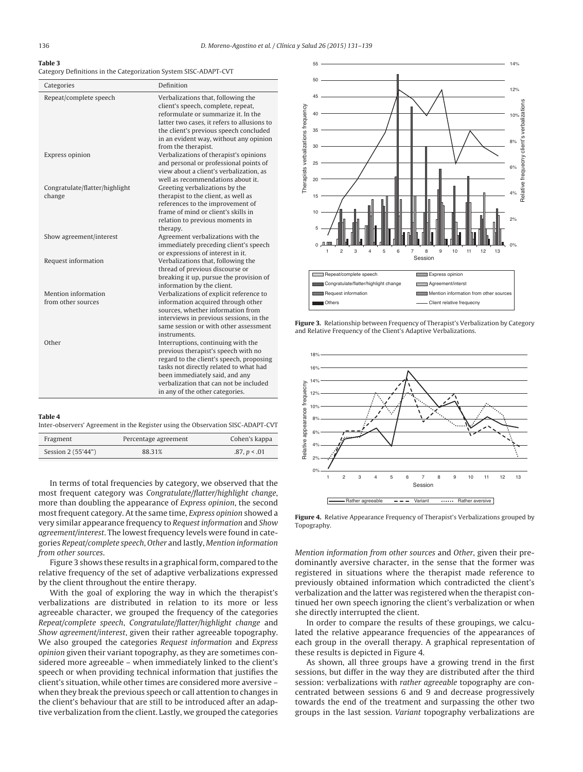#### **Table 3**

Category Definitions in the Categorization System SISC-ADAPT-CVT

| Categories                                | Definition                                                                                                                                                                                                                                                                     |
|-------------------------------------------|--------------------------------------------------------------------------------------------------------------------------------------------------------------------------------------------------------------------------------------------------------------------------------|
| Repeat/complete speech                    | Verbalizations that, following the<br>client's speech, complete, repeat,<br>reformulate or summarize it. In the<br>latter two cases, it refers to allusions to<br>the client's previous speech concluded<br>in an evident way, without any opinion<br>from the therapist.      |
| Express opinion                           | Verbalizations of therapist's opinions<br>and personal or professional points of<br>view about a client's verbalization, as<br>well as recommendations about it.                                                                                                               |
| Congratulate/flatter/highlight<br>change  | Greeting verbalizations by the<br>therapist to the client, as well as<br>references to the improvement of<br>frame of mind or client's skills in<br>relation to previous moments in<br>therapy.                                                                                |
| Show agreement/interest                   | Agreement verbalizations with the<br>immediately preceding client's speech<br>or expressions of interest in it.                                                                                                                                                                |
| Request information                       | Verbalizations that, following the<br>thread of previous discourse or<br>breaking it up, pursue the provision of<br>information by the client.                                                                                                                                 |
| Mention information<br>from other sources | Verbalizations of explicit reference to<br>information acquired through other<br>sources, whether information from<br>interviews in previous sessions, in the<br>same session or with other assessment<br>instruments.                                                         |
| Other                                     | Interruptions, continuing with the<br>previous therapist's speech with no<br>regard to the client's speech, proposing<br>tasks not directly related to what had<br>been immediately said, and any<br>verbalization that can not be included<br>in any of the other categories. |

#### **Table 4**

Inter-observers' Agreement in the Register using the Observation SISC-ADAPT-CVT

| Fragment           | Percentage agreement | Cohen's kappa |
|--------------------|----------------------|---------------|
| Session 2 (55'44") | 88.31%               | .87, p < .01  |

In terms of total frequencies by category, we observed that the most frequent category was Congratulate/flatter/highlight change, more than doubling the appearance of Express opinion, the second most frequent category. At the same time, Express opinion showed a very similar appearance frequency to Request information and Show agreement/interest. The lowest frequency levels were found in categories Repeat/complete speech, Other and lastly, Mention information from other sources.

Figure 3 shows these results in a graphical form, compared to the relative frequency of the set of adaptive verbalizations expressed by the client throughout the entire therapy.

With the goal of exploring the way in which the therapist's verbalizations are distributed in relation to its more or less agreeable character, we grouped the frequency of the categories Repeat/complete speech, Congratulate/flatter/highlight change and Show agreement/interest, given their rather agreeable topography. We also grouped the categories Request information and Express opinion given their variant topography, as they are sometimes considered more agreeable – when immediately linked to the client's speech or when providing technical information that justifies the client's situation, while other times are considered more aversive – when they break the previous speech or call attention to changes in the client's behaviour that are still to be introduced after an adaptive verbalization from the client. Lastly, we grouped the categories



**Figure 3.** Relationship between Frequency of Therapist's Verbalization by Category and Relative Frequency of the Client's Adaptive Verbalizations.



**Figure 4.** Relative Appearance Frequency of Therapist's Verbalizations grouped by Topography.

Mention information from other sources and Other, given their predominantly aversive character, in the sense that the former was registered in situations where the therapist made reference to previously obtained information which contradicted the client's verbalization and the latter was registered when the therapist continued her own speech ignoring the client's verbalization or when she directly interrupted the client.

In order to compare the results of these groupings, we calculated the relative appearance frequencies of the appearances of each group in the overall therapy. A graphical representation of these results is depicted in Figure 4.

As shown, all three groups have a growing trend in the first sessions, but differ in the way they are distributed after the third session: verbalizations with rather agreeable topography are concentrated between sessions 6 and 9 and decrease progressively towards the end of the treatment and surpassing the other two groups in the last session. Variant topography verbalizations are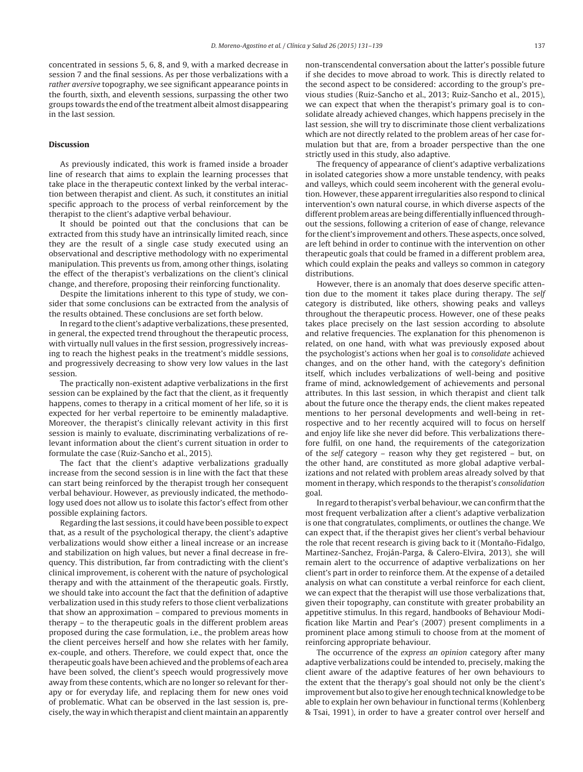concentrated in sessions 5, 6, 8, and 9, with a marked decrease in session 7 and the final sessions. As per those verbalizations with a rather aversive topography, we see significant appearance points in the fourth, sixth, and eleventh sessions, surpassing the other two groups towards the end of the treatment albeit almost disappearing in the last session.

# **Discussion**

As previously indicated, this work is framed inside a broader line of research that aims to explain the learning processes that take place in the therapeutic context linked by the verbal interaction between therapist and client. As such, it constitutes an initial specific approach to the process of verbal reinforcement by the therapist to the client's adaptive verbal behaviour.

It should be pointed out that the conclusions that can be extracted from this study have an intrinsically limited reach, since they are the result of a single case study executed using an observational and descriptive methodology with no experimental manipulation. This prevents us from, among other things, isolating the effect of the therapist's verbalizations on the client's clinical change, and therefore, proposing their reinforcing functionality.

Despite the limitations inherent to this type of study, we consider that some conclusions can be extracted from the analysis of the results obtained. These conclusions are set forth below.

In regard to the client's adaptive verbalizations, these presented, in general, the expected trend throughout the therapeutic process, with virtually null values in the first session, progressively increasing to reach the highest peaks in the treatment's middle sessions, and progressively decreasing to show very low values in the last session.

The practically non-existent adaptive verbalizations in the first session can be explained by the fact that the client, as it frequently happens, comes to therapy in a critical moment of her life, so it is expected for her verbal repertoire to be eminently maladaptive. Moreover, the therapist's clinically relevant activity in this first session is mainly to evaluate, discriminating verbalizations of relevant information about the client's current situation in order to formulate the case (Ruiz-Sancho et al., 2015).

The fact that the client's adaptive verbalizations gradually increase from the second session is in line with the fact that these can start being reinforced by the therapist trough her consequent verbal behaviour. However, as previously indicated, the methodology used does not allow us to isolate this factor's effect from other possible explaining factors.

Regarding the last sessions, it could have been possible to expect that, as a result of the psychological therapy, the client's adaptive verbalizations would show either a lineal increase or an increase and stabilization on high values, but never a final decrease in frequency. This distribution, far from contradicting with the client's clinical improvement, is coherent with the nature of psychological therapy and with the attainment of the therapeutic goals. Firstly, we should take into account the fact that the definition of adaptive verbalization used in this study refers to those client verbalizations that show an approximation – compared to previous moments in therapy – to the therapeutic goals in the different problem areas proposed during the case formulation, i.e., the problem areas how the client perceives herself and how she relates with her family, ex-couple, and others. Therefore, we could expect that, once the therapeutic goals have been achieved and the problems of each area have been solved, the client's speech would progressively move away from these contents, which are no longer so relevant for therapy or for everyday life, and replacing them for new ones void of problematic. What can be observed in the last session is, precisely, the way in which therapist and client maintain an apparently non-transcendental conversation about the latter's possible future if she decides to move abroad to work. This is directly related to the second aspect to be considered: according to the group's previous studies (Ruiz-Sancho et al., 2013; Ruiz-Sancho et al., 2015), we can expect that when the therapist's primary goal is to consolidate already achieved changes, which happens precisely in the last session, she will try to discriminate those client verbalizations which are not directly related to the problem areas of her case formulation but that are, from a broader perspective than the one strictly used in this study, also adaptive.

The frequency of appearance of client's adaptive verbalizations in isolated categories show a more unstable tendency, with peaks and valleys, which could seem incoherent with the general evolution. However, these apparent irregularities also respond to clinical intervention's own natural course, in which diverse aspects of the different problem areas are being differentially influenced throughout the sessions, following a criterion of ease of change, relevance for the client's improvement and others. These aspects, once solved, are left behind in order to continue with the intervention on other therapeutic goals that could be framed in a different problem area, which could explain the peaks and valleys so common in category distributions.

However, there is an anomaly that does deserve specific attention due to the moment it takes place during therapy. The self category is distributed, like others, showing peaks and valleys throughout the therapeutic process. However, one of these peaks takes place precisely on the last session according to absolute and relative frequencies. The explanation for this phenomenon is related, on one hand, with what was previously exposed about the psychologist's actions when her goal is to consolidate achieved changes, and on the other hand, with the category's definition itself, which includes verbalizations of well-being and positive frame of mind, acknowledgement of achievements and personal attributes. In this last session, in which therapist and client talk about the future once the therapy ends, the client makes repeated mentions to her personal developments and well-being in retrospective and to her recently acquired will to focus on herself and enjoy life like she never did before. This verbalizations therefore fulfil, on one hand, the requirements of the categorization of the self category – reason why they get registered – but, on the other hand, are constituted as more global adaptive verbalizations and not related with problem areas already solved by that moment in therapy, which responds to the therapist's consolidation goal.

In regard to therapist's verbal behaviour, we can confirm that the most frequent verbalization after a client's adaptive verbalization is one that congratulates, compliments, or outlines the change. We can expect that, if the therapist gives her client's verbal behaviour the role that recent research is giving back to it (Montaño-Fidalgo, Martinez-Sanchez, Froján-Parga, & Calero-Elvira, 2013), she will remain alert to the occurrence of adaptive verbalizations on her client's part in order to reinforce them. At the expense of a detailed analysis on what can constitute a verbal reinforce for each client, we can expect that the therapist will use those verbalizations that, given their topography, can constitute with greater probability an appetitive stimulus. In this regard, handbooks of Behaviour Modification like Martin and Pear's (2007) present compliments in a prominent place among stimuli to choose from at the moment of reinforcing appropriate behaviour.

The occurrence of the express an opinion category after many adaptive verbalizations could be intended to, precisely, making the client aware of the adaptive features of her own behaviours to the extent that the therapy's goal should not only be the client's improvement but also to give her enough technical knowledge to be able to explain her own behaviour in functional terms (Kohlenberg & Tsai, 1991), in order to have a greater control over herself and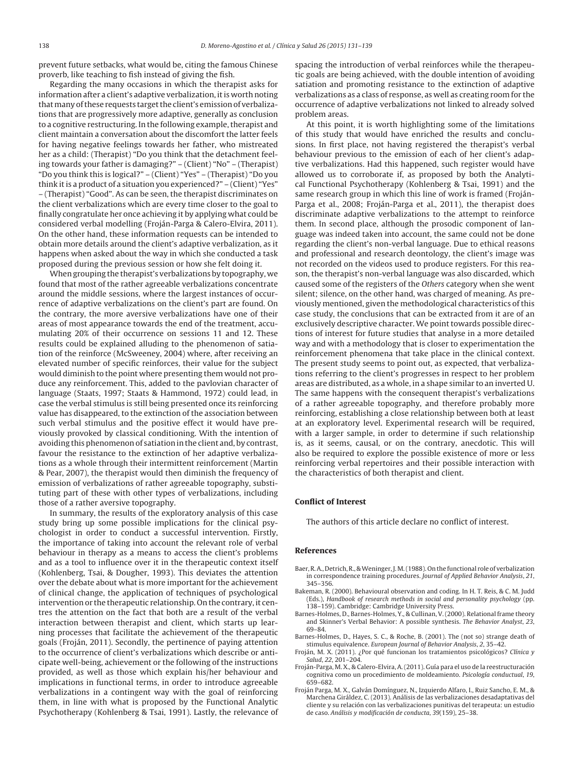prevent future setbacks, what would be, citing the famous Chinese proverb, like teaching to fish instead of giving the fish.

Regarding the many occasions in which the therapist asks for information after a client's adaptive verbalization, it is worth noting that many of these requests target the client's emission of verbalizations that are progressively more adaptive, generally as conclusion to a cognitive restructuring. In the following example, therapist and client maintain a conversation about the discomfort the latter feels for having negative feelings towards her father, who mistreated her as a child: (Therapist) "Do you think that the detachment feeling towards your father is damaging?" – (Client) "No" – (Therapist) "Do you think this is logical?" – (Client) "Yes" – (Therapist) "Do you think it is a product of a situation you experienced?" – (Client) "Yes" – (Therapist) "Good". As can be seen, the therapist discriminates on the client verbalizations which are every time closer to the goal to finally congratulate her once achieving it by applying what could be considered verbal modelling (Froján-Parga & Calero-Elvira, 2011). On the other hand, these information requests can be intended to obtain more details around the client's adaptive verbalization, as it happens when asked about the way in which she conducted a task proposed during the previous session or how she felt doing it.

When grouping the therapist's verbalizations by topography, we found that most of the rather agreeable verbalizations concentrate around the middle sessions, where the largest instances of occurrence of adaptive verbalizations on the client's part are found. On the contrary, the more aversive verbalizations have one of their areas of most appearance towards the end of the treatment, accumulating 20% of their occurrence on sessions 11 and 12. These results could be explained alluding to the phenomenon of satiation of the reinforce (McSweeney, 2004) where, after receiving an elevated number of specific reinforces, their value for the subject would diminish to the point where presenting them would not produce any reinforcement. This, added to the pavlovian character of language (Staats, 1997; Staats & Hammond, 1972) could lead, in case the verbal stimulus is still being presented once its reinforcing value has disappeared, to the extinction of the association between such verbal stimulus and the positive effect it would have previously provoked by classical conditioning. With the intention of avoiding this phenomenon of satiation in the client and, by contrast, favour the resistance to the extinction of her adaptive verbalizations as a whole through their intermittent reinforcement (Martin & Pear, 2007), the therapist would then diminish the frequency of emission of verbalizations of rather agreeable topography, substituting part of these with other types of verbalizations, including those of a rather aversive topography.

In summary, the results of the exploratory analysis of this case study bring up some possible implications for the clinical psychologist in order to conduct a successful intervention. Firstly, the importance of taking into account the relevant role of verbal behaviour in therapy as a means to access the client's problems and as a tool to influence over it in the therapeutic context itself (Kohlenberg, Tsai, & Dougher, 1993). This deviates the attention over the debate about what is more important for the achievement of clinical change, the application of techniques of psychological intervention or the therapeutic relationship. On the contrary, it centres the attention on the fact that both are a result of the verbal interaction between therapist and client, which starts up learning processes that facilitate the achievement of the therapeutic goals (Froján, 2011). Secondly, the pertinence of paying attention to the occurrence of client's verbalizations which describe or anticipate well-being, achievement or the following of the instructions provided, as well as those which explain his/her behaviour and implications in functional terms, in order to introduce agreeable verbalizations in a contingent way with the goal of reinforcing them, in line with what is proposed by the Functional Analytic Psychotherapy (Kohlenberg & Tsai, 1991). Lastly, the relevance of spacing the introduction of verbal reinforces while the therapeutic goals are being achieved, with the double intention of avoiding satiation and promoting resistance to the extinction of adaptive verbalizations as a class of response, as well as creating room for the occurrence of adaptive verbalizations not linked to already solved problem areas.

At this point, it is worth highlighting some of the limitations of this study that would have enriched the results and conclusions. In first place, not having registered the therapist's verbal behaviour previous to the emission of each of her client's adaptive verbalizations. Had this happened, such register would have allowed us to corroborate if, as proposed by both the Analytical Functional Psychotherapy (Kohlenberg & Tsai, 1991) and the same research group in which this line of work is framed (Froján-Parga et al., 2008; Froján-Parga et al., 2011), the therapist does discriminate adaptive verbalizations to the attempt to reinforce them. In second place, although the prosodic component of language was indeed taken into account, the same could not be done regarding the client's non-verbal language. Due to ethical reasons and professional and research deontology, the client's image was not recorded on the videos used to produce registers. For this reason, the therapist's non-verbal language was also discarded, which caused some of the registers of the Others category when she went silent; silence, on the other hand, was charged of meaning. As previously mentioned, given the methodological characteristics of this case study, the conclusions that can be extracted from it are of an exclusively descriptive character. We point towards possible directions of interest for future studies that analyse in a more detailed way and with a methodology that is closer to experimentation the reinforcement phenomena that take place in the clinical context. The present study seems to point out, as expected, that verbalizations referring to the client's progresses in respect to her problem areas are distributed, as a whole, in a shape similar to an inverted U. The same happens with the consequent therapist's verbalizations of a rather agreeable topography, and therefore probably more reinforcing, establishing a close relationship between both at least at an exploratory level. Experimental research will be required, with a larger sample, in order to determine if such relationship is, as it seems, causal, or on the contrary, anecdotic. This will also be required to explore the possible existence of more or less reinforcing verbal repertoires and their possible interaction with the characteristics of both therapist and client.

#### **Conflict of Interest**

The authors of this article declare no conflict of interest.

## **References**

- Baer, R. A., Detrich, R., & Weninger, J. M. (1988). On the functional role of verbalization in correspondence training procedures. Journal of Applied Behavior Analysis, 21, 345–356.
- Bakeman, R. (2000). Behavioural observation and coding. In H. T. Reis, & C. M. Judd (Eds.), Handbook of research methods in social and personality psychology (pp. 138–159). Cambridge: Cambridge University Press.
- Barnes-Holmes, D., Barnes-Holmes, Y., & Cullinan, V. (2000). Relational frame theory and Skinner's Verbal Behavior: A possible synthesis. The Behavior Analyst, 23, 69–84.
- Barnes-Holmes, D., Hayes, S. C., & Roche, B. (2001). The (not so) strange death of stimulus equivalence. European Journal of Behavior Analysis, 2, 35–42.
- Froján, M. X. (2011). ¿Por qué funcionan los tratamientos psicológicos? Clínica y Salud, 22, 201–204.
- Froján-Parga, M. X., & Calero-Elvira, A. (2011). Guía para el uso de la reestructuración cognitiva como un procedimiento de moldeamiento. Psicología conductual, 19, 659–682.
- Froján Parga, M. X., Galván Domínguez, N., Izquierdo Alfaro, I., Ruiz Sancho, E. M., & Marchena Giráldez, C. (2013). Análisis de las verbalizaciones desadaptativas del cliente y su relación con las verbalizaciones punitivas del terapeuta: un estudio de caso. Análisis y modificación de conducta, 39(159), 25–38.